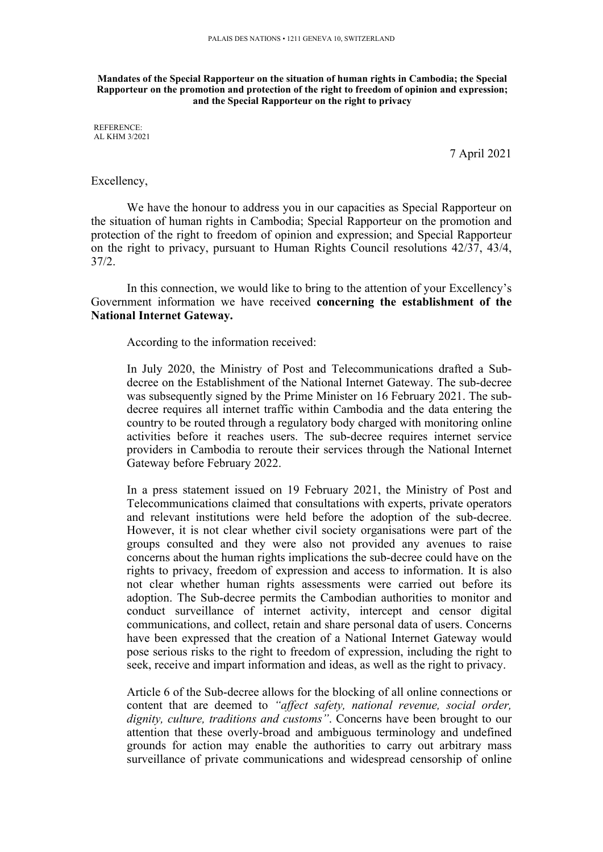**Mandates of the Special Rapporteur on the situation of human rights in Cambodia; the Special** Rapporteur on the promotion and protection of the right to freedom of opinion and expression; **and the Special Rapporteur on the right to privacy**

REFERENCE: AL KHM 3/2021

7 April 2021

## Excellency,

We have the honour to address you in our capacities as Special Rapporteur on the situation of human rights in Cambodia; Special Rapporteur on the promotion and protection of the right to freedom of opinion and expression; and Special Rapporteur on the right to privacy, pursuan<sup>t</sup> to Human Rights Council resolutions 42/37, 43/4, 37/2.

In this connection, we would like to bring to the attention of your Excellency'<sup>s</sup> Government information we have received **concerning the establishment of the National Internet Gateway.**

According to the information received:

In July 2020, the Ministry of Post and Telecommunications drafted <sup>a</sup> Subdecree on the Establishment of the National Internet Gateway. The sub-decree was subsequently signed by the Prime Minister on 16 February 2021. The subdecree requires all internet traffic within Cambodia and the data entering the country to be routed through <sup>a</sup> regulatory body charged with monitoring online activities before it reaches users. The sub-decree requires internet service providers in Cambodia to reroute their services through the National Internet Gateway before February 2022.

In <sup>a</sup> press statement issued on 19 February 2021, the Ministry of Post and Telecommunications claimed that consultations with experts, private operators and relevant institutions were held before the adoption of the sub-decree. However, it is not clear whether civil society organisations were par<sup>t</sup> of the groups consulted and they were also not provided any avenues to raise concerns about the human rights implications the sub-decree could have on the rights to privacy, freedom of expression and access to information. It is also not clear whether human rights assessments were carried out before its adoption. The Sub-decree permits the Cambodian authorities to monitor and conduct surveillance of internet activity, intercept and censor digital communications, and collect, retain and share personal data of users. Concerns have been expressed that the creation of <sup>a</sup> National Internet Gateway would pose serious risks to the right to freedom of expression, including the right to seek, receive and impart information and ideas, as well as the right to privacy.

Article 6 of the Sub-decree allows for the blocking of all online connections or content that are deemed to *"affect safety, national revenue, social order, dignity, culture, traditions and customs"*. Concerns have been brought to our attention that these overly-broad and ambiguous terminology and undefined grounds for action may enable the authorities to carry out arbitrary mass surveillance of private communications and widespread censorship of online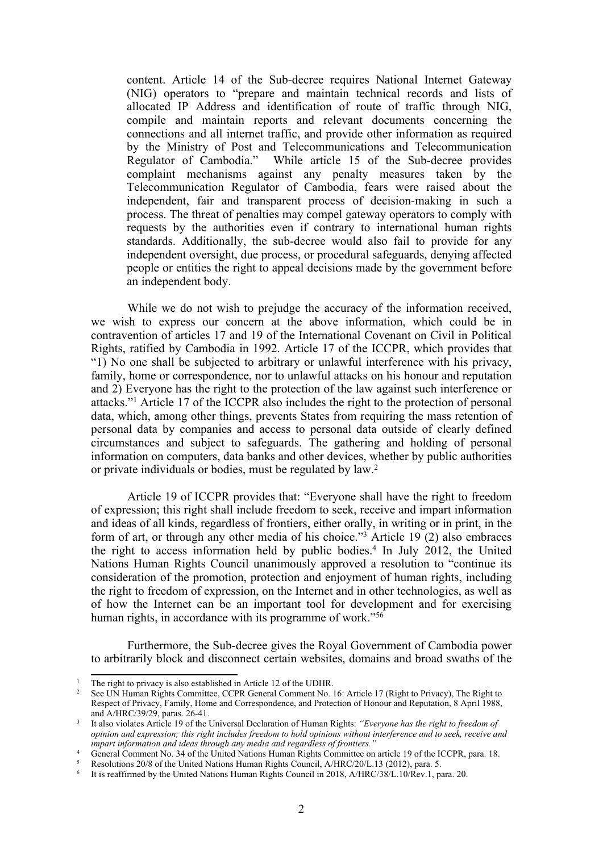content. Article 14 of the Sub-decree requires National Internet Gateway (NIG) operators to "prepare and maintain technical records and lists of allocated IP Address and identification of route of traffic through NIG, compile and maintain reports and relevant documents concerning the connections and all internet traffic, and provide other information as required by the Ministry of Post and Telecommunications and Telecommunication Regulator of Cambodia." While article 15 of the Sub-decree provides complaint mechanisms against any penalty measures taken by the Telecommunication Regulator of Cambodia, fears were raised about the independent, fair and transparent process of decision-making in such <sup>a</sup> process. The threat of penalties may compel gateway operators to comply with requests by the authorities even if contrary to international human rights standards. Additionally, the sub-decree would also fail to provide for any independent oversight, due process, or procedural safeguards, denying affected people or entities the right to appeal decisions made by the governmen<sup>t</sup> before an independent body.

While we do not wish to prejudge the accuracy of the information received, we wish to express our concern at the above information, which could be in contravention of articles 17 and 19 of the International Covenant on Civil in Political Rights, ratified by Cambodia in 1992. Article 17 of the ICCPR, which provides that "1) No one shall be subjected to arbitrary or unlawful interference with his privacy, family, home or correspondence, nor to unlawful attacks on his honour and reputation and 2) Everyone has the right to the protection of the law against such interference or attacks."<sup>1</sup> Article 17 of the ICCPR also includes the right to the protection of personal data, which, among other things, prevents States from requiring the mass retention of personal data by companies and access to personal data outside of clearly defined circumstances and subject to safeguards. The gathering and holding of personal information on computers, data banks and other devices, whether by public authorities or private individuals or bodies, must be regulated by law. 2

Article 19 of ICCPR provides that: "Everyone shall have the right to freedom of expression; this right shall include freedom to seek, receive and impart information and ideas of all kinds, regardless of frontiers, either orally, in writing or in print, in the form of art, or through any other media of his choice."<sup>3</sup> Article 19 $(2)$  also embraces the right to access information held by public bodies. 4 In July 2012, the United Nations Human Rights Council unanimously approved <sup>a</sup> resolution to "continue its consideration of the promotion, protection and enjoyment of human rights, including the right to freedom of expression, on the Internet and in other technologies, as well as of how the Internet can be an important tool for development and for exercising human rights, in accordance with its programme of work."<sup>56</sup>

Furthermore, the Sub-decree gives the Royal Government of Cambodia power to arbitrarily block and disconnect certain websites, domains and broad swaths of the

<sup>5</sup> Resolutions 20/8 of the United Nations Human Rights Council, A/HRC/20/L.13 (2012), para. 5.

<sup>&</sup>lt;sup>1</sup> The right to privacy is also established in Article 12 of the UDHR.<br><sup>2</sup> See LIN Human Bights Committee, CCBB General Comment Ne

See UN Human Rights Committee, CCPR General Comment No. 16: Article 17 (Right to Privacy), The Right to Respect of Privacy, Family, Home and Correspondence, and Protection of Honour and Reputation, 8 April 1988, and A/HRC/39/29, paras. 26-41.

<sup>3</sup> It also violates Article 19 of the Universal Declaration of Human Rights: *"Everyone has the right to freedom of* opinion and expression; this right includes freedom to hold opinions without interference and to seek, receive and *impart information and ideas through any media and regardless of frontiers."*

<sup>&</sup>lt;sup>4</sup> General Comment No. 34 of the United Nations Human Rights Committee on article 19 of the ICCPR, para. 18.

<sup>6</sup> It is reaffirmed by the United Nations Human Rights Council in 2018, A/HRC/38/L.10/Rev.1, para. 20.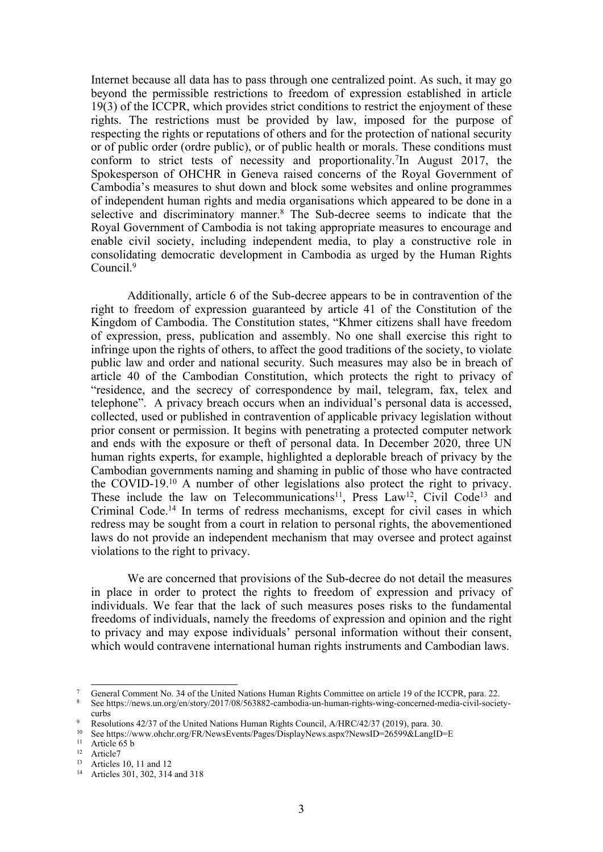Internet because all data has to pass through one centralized point. As such, it may go beyond the permissible restrictions to freedom of expression established in article 19(3) of the ICCPR, which provides strict conditions to restrict the enjoyment of these rights. The restrictions must be provided by law, imposed for the purpose of respecting the rights or reputations of others and for the protection of national security or of public order (ordre public), or of public health or morals. These conditions must conform to strict tests of necessity and proportionality. 7 In August 2017, the Spokesperson of OHCHR in Geneva raised concerns of the Royal Government of Cambodia'<sup>s</sup> measures to shut down and block some websites and online programmes of independent human rights and media organisations which appeared to be done in <sup>a</sup> selective and discriminatory manner. 8 The Sub-decree seems to indicate that the Royal Government of Cambodia is not taking appropriate measures to encourage and enable civil society, including independent media, to play <sup>a</sup> constructive role in consolidating democratic development in Cambodia as urged by the Human Rights Council. 9

Additionally, article 6 of the Sub-decree appears to be in contravention of the right to freedom of expression guaranteed by article 41 of the Constitution of the Kingdom of Cambodia. The Constitution states, "Khmer citizens shall have freedom of expression, press, publication and assembly. No one shall exercise this right to infringe upon the rights of others, to affect the good traditions of the society, to violate public law and order and national security*.* Such measures may also be in breach of article 40 of the Cambodian Constitution, which protects the right to privacy of "residence, and the secrecy of correspondence by mail, telegram, fax, telex and telephone". A privacy breach occurs when an individual'<sup>s</sup> personal data is accessed, collected, used or published in contravention of applicable privacy legislation without prior consent or permission. It begins with penetrating <sup>a</sup> protected computer network and ends with the exposure or theft of personal data. In December 2020, three UN human rights experts, for example, highlighted <sup>a</sup> deplorable breach of privacy by the Cambodian governments naming and shaming in public of those who have contracted the COVID-19. <sup>10</sup> <sup>A</sup> number of other legislations also protect the right to privacy. These include the law on Telecommunications<sup>11</sup>, Press Law<sup>12</sup>, Civil Code<sup>13</sup> and Criminal Code. 14 In terms of redress mechanisms, excep<sup>t</sup> for civil cases in which redress may be sought from <sup>a</sup> court in relation to personal rights, the abovementioned laws do not provide an independent mechanism that may oversee and protect against violations to the right to privacy.

We are concerned that provisions of the Sub-decree do not detail the measures in place in order to protect the rights to freedom of expression and privacy of individuals. We fear that the lack of such measures poses risks to the fundamental freedoms of individuals, namely the freedoms of expression and opinion and the right to privacy and may expose individuals' personal information without their consent, which would contravene international human rights instruments and Cambodian laws.

<sup>7</sup> General Comment No. 34 of the United Nations Human Rights Committee on article 19 of the ICCPR, para. 22.

<sup>8</sup> See [https://news.un.org/en/story/2017/08/563882-cambodia-un-human-rights-wing-concerned-media-civil-society](https://news.un.org/en/story/2017/08/563882-cambodia-un-human-rights-wing-concerned-media-civil-society-curbs)[curbs](https://news.un.org/en/story/2017/08/563882-cambodia-un-human-rights-wing-concerned-media-civil-society-curbs)

Resolutions 42/37 of the United Nations Human Rights Council, A/HRC/42/37 (2019), para. 30.

<sup>&</sup>lt;sup>10</sup> See <https://www.ohchr.org/FR/NewsEvents/Pages/DisplayNews.aspx?NewsID=26599&LangID=E>

 $11$  Article 65 b

<sup>&</sup>lt;sup>12</sup> Article7

<sup>13</sup> Articles 10, 11 and 12

<sup>&</sup>lt;sup>14</sup> Articles 301, 302, 314 and 318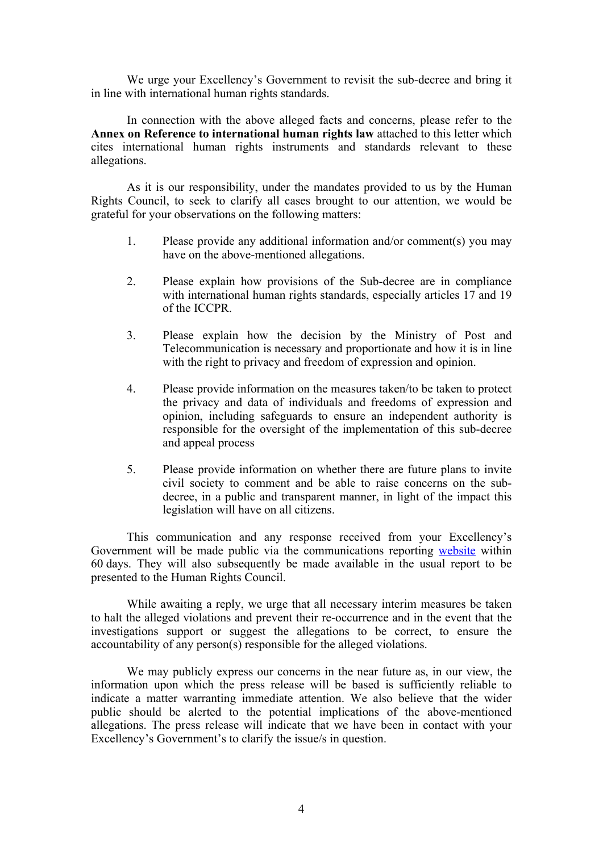We urge your Excellency'<sup>s</sup> Government to revisit the sub-decree and bring it in line with international human rights standards.

In connection with the above alleged facts and concerns, please refer to the **Annex on Reference to international human rights law** attached to this letter which cites international human rights instruments and standards relevant to these allegations.

As it is our responsibility, under the mandates provided to us by the Human Rights Council, to seek to clarify all cases brought to our attention, we would be grateful for your observations on the following matters:

- 1. Please provide any additional information and/or comment(s) you may have on the above-mentioned allegations.
- 2. Please explain how provisions of the Sub-decree are in compliance with international human rights standards, especially articles 17 and 19 of the ICCPR.
- 3. Please explain how the decision by the Ministry of Post and Telecommunication is necessary and proportionate and how it is in line with the right to privacy and freedom of expression and opinion.
- 4. Please provide information on the measures taken/to be taken to protect the privacy and data of individuals and freedoms of expression and opinion, including safeguards to ensure an independent authority is responsible for the oversight of the implementation of this sub-decree and appeal process
- 5. Please provide information on whether there are future plans to invite civil society to comment and be able to raise concerns on the subdecree, in <sup>a</sup> public and transparent manner, in light of the impact this legislation will have on all citizens.

This communication and any response received from your Excellency'<sup>s</sup> Government will be made public via the communications reporting [website](https://spcommreports.ohchr.org/) within 60 days. They will also subsequently be made available in the usual repor<sup>t</sup> to be presented to the Human Rights Council.

While awaiting <sup>a</sup> reply, we urge that all necessary interim measures be taken to halt the alleged violations and preven<sup>t</sup> their re-occurrence and in the event that the investigations suppor<sup>t</sup> or sugges<sup>t</sup> the allegations to be correct, to ensure the accountability of any person(s) responsible for the alleged violations.

We may publicly express our concerns in the near future as, in our view, the information upon which the press release will be based is sufficiently reliable to indicate <sup>a</sup> matter warranting immediate attention. We also believe that the wider public should be alerted to the potential implications of the above-mentioned allegations. The press release will indicate that we have been in contact with your Excellency'<sup>s</sup> Government'<sup>s</sup> to clarify the issue/s in question.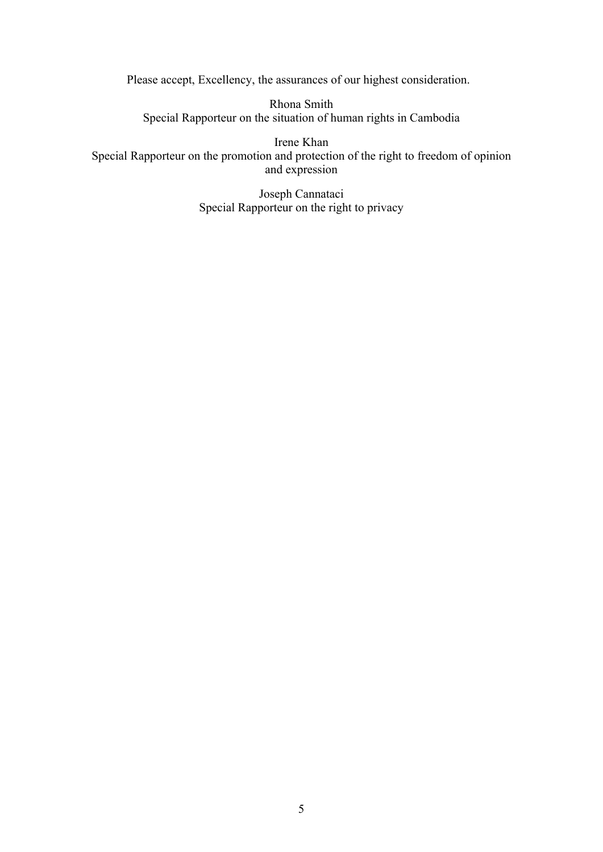Please accept, Excellency, the assurances of our highest consideration.

Rhona Smith Special Rapporteur on the situation of human rights in Cambodia

Irene Khan Special Rapporteur on the promotion and protection of the right to freedom of opinion and expression

> Joseph Cannataci Special Rapporteur on the right to privacy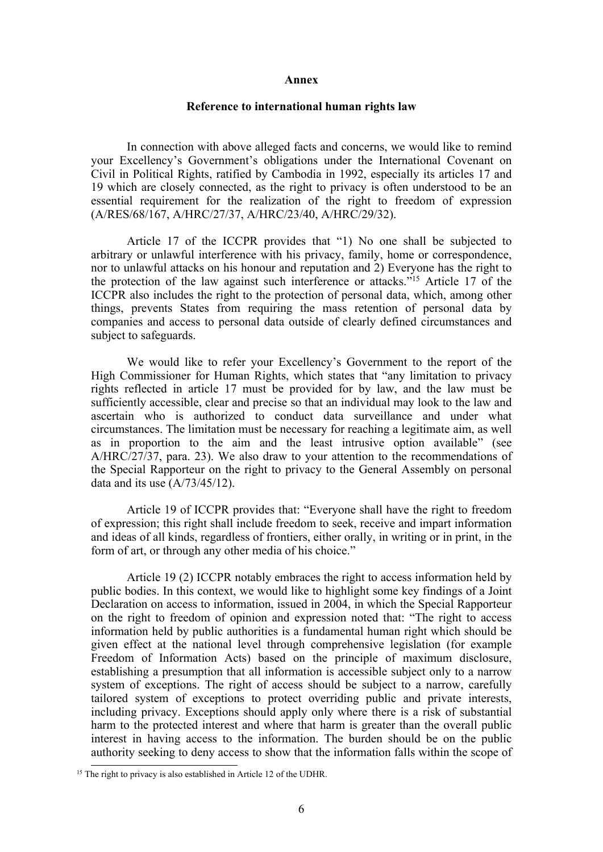## **Annex**

## **Reference to international human rights law**

In connection with above alleged facts and concerns, we would like to remind your Excellency'<sup>s</sup> Government'<sup>s</sup> obligations under the International Covenant on Civil in Political Rights, ratified by Cambodia in 1992, especially its articles 17 and 19 which are closely connected, as the right to privacy is often understood to be an essential requirement for the realization of the right to freedom of expression (A/RES/68/167, A/HRC/27/37, A/HRC/23/40, A/HRC/29/32).

Article 17 of the ICCPR provides that "1) No one shall be subjected to arbitrary or unlawful interference with his privacy, family, home or correspondence, nor to unlawful attacks on his honour and reputation and 2) Everyone has the right to the protection of the law against such interference or attacks."<sup>15</sup> Article 17 of the ICCPR also includes the right to the protection of personal data, which, among other things, prevents States from requiring the mass retention of personal data by companies and access to personal data outside of clearly defined circumstances and subject to safeguards.

We would like to refer your Excellency'<sup>s</sup> Government to the repor<sup>t</sup> of the High Commissioner for Human Rights, which states that "any limitation to privacy rights reflected in article 17 must be provided for by law, and the law must be sufficiently accessible, clear and precise so that an individual may look to the law and ascertain who is authorized to conduct data surveillance and under what circumstances. The limitation must be necessary for reaching <sup>a</sup> legitimate aim, as well as in proportion to the aim and the least intrusive option available" (see A/HRC/27/37, para. 23). We also draw to your attention to the recommendations of the Special Rapporteur on the right to privacy to the General Assembly on personal data and its use (A/73/45/12).

Article 19 of ICCPR provides that: "Everyone shall have the right to freedom of expression; this right shall include freedom to seek, receive and impart information and ideas of all kinds, regardless of frontiers, either orally, in writing or in print, in the form of art, or through any other media of his choice."

Article 19 (2) ICCPR notably embraces the right to access information held by public bodies. In this context, we would like to highlight some key findings of <sup>a</sup> Joint Declaration on access to information, issued in 2004, in which the Special Rapporteur on the right to freedom of opinion and expression noted that: "The right to access information held by public authorities is <sup>a</sup> fundamental human right which should be given effect at the national level through comprehensive legislation (for example Freedom of Information Acts) based on the principle of maximum disclosure, establishing <sup>a</sup> presumption that all information is accessible subject only to <sup>a</sup> narrow system of exceptions. The right of access should be subject to <sup>a</sup> narrow, carefully tailored system of exceptions to protect overriding public and private interests, including privacy. Exceptions should apply only where there is <sup>a</sup> risk of substantial harm to the protected interest and where that harm is greater than the overall public interest in having access to the information. The burden should be on the public authority seeking to deny access to show that the information falls within the scope of

<sup>&</sup>lt;sup>15</sup> The right to privacy is also established in Article 12 of the UDHR.